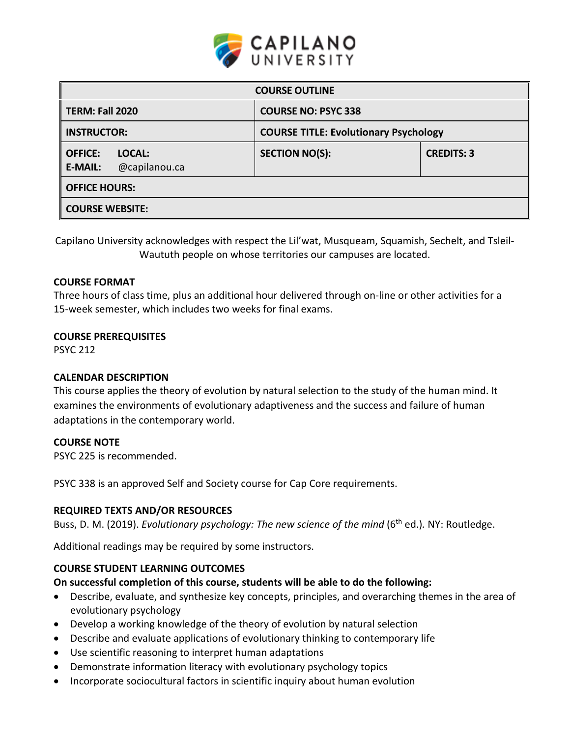

| <b>COURSE OUTLINE</b>                                       |                                              |                   |  |  |  |
|-------------------------------------------------------------|----------------------------------------------|-------------------|--|--|--|
| <b>TERM: Fall 2020</b>                                      | <b>COURSE NO: PSYC 338</b>                   |                   |  |  |  |
| <b>INSTRUCTOR:</b>                                          | <b>COURSE TITLE: Evolutionary Psychology</b> |                   |  |  |  |
| <b>OFFICE:</b><br>LOCAL:<br>@capilanou.ca<br><b>E-MAIL:</b> | <b>SECTION NO(S):</b>                        | <b>CREDITS: 3</b> |  |  |  |
| <b>OFFICE HOURS:</b>                                        |                                              |                   |  |  |  |
| <b>COURSE WEBSITE:</b>                                      |                                              |                   |  |  |  |

Capilano University acknowledges with respect the Lil'wat, Musqueam, Squamish, Sechelt, and Tsleil-Waututh people on whose territories our campuses are located.

## **COURSE FORMAT**

Three hours of class time, plus an additional hour delivered through on-line or other activities for a 15-week semester, which includes two weeks for final exams.

### **COURSE PREREQUISITES**

PSYC 212

### **CALENDAR DESCRIPTION**

This course applies the theory of evolution by natural selection to the study of the human mind. It examines the environments of evolutionary adaptiveness and the success and failure of human adaptations in the contemporary world.

### **COURSE NOTE**

PSYC 225 is recommended.

PSYC 338 is an approved Self and Society course for Cap Core requirements.

### **REQUIRED TEXTS AND/OR RESOURCES**

Buss, D. M. (2019). *Evolutionary psychology: The new science of the mind* (6<sup>th</sup> ed.). NY: Routledge.

Additional readings may be required by some instructors.

### **COURSE STUDENT LEARNING OUTCOMES**

### **On successful completion of this course, students will be able to do the following:**

- Describe, evaluate, and synthesize key concepts, principles, and overarching themes in the area of evolutionary psychology
- Develop a working knowledge of the theory of evolution by natural selection
- Describe and evaluate applications of evolutionary thinking to contemporary life
- Use scientific reasoning to interpret human adaptations
- Demonstrate information literacy with evolutionary psychology topics
- Incorporate sociocultural factors in scientific inquiry about human evolution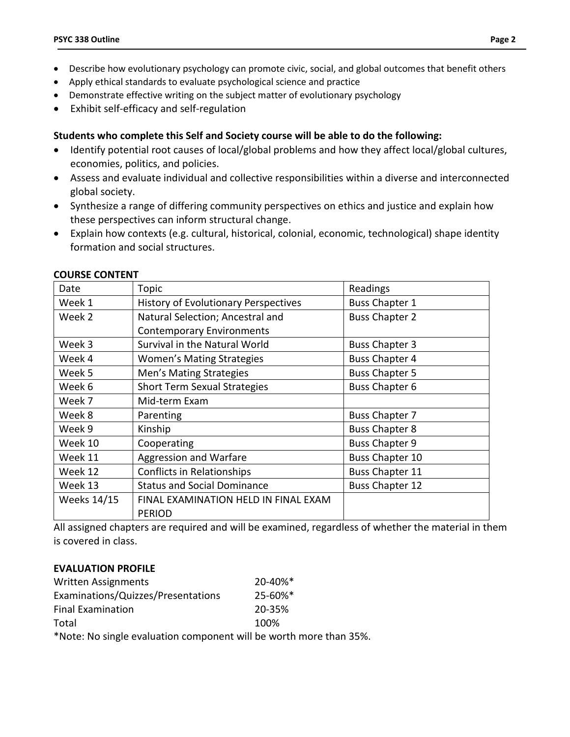- Describe how evolutionary psychology can promote civic, social, and global outcomes that benefit others
- Apply ethical standards to evaluate psychological science and practice
- Demonstrate effective writing on the subject matter of evolutionary psychology
- Exhibit self-efficacy and self-regulation

# **Students who complete this Self and Society course will be able to do the following:**

- Identify potential root causes of local/global problems and how they affect local/global cultures, economies, politics, and policies.
- Assess and evaluate individual and collective responsibilities within a diverse and interconnected global society.
- Synthesize a range of differing community perspectives on ethics and justice and explain how these perspectives can inform structural change.
- Explain how contexts (e.g. cultural, historical, colonial, economic, technological) shape identity formation and social structures.

| Date                              | Topic                                                        | Readings               |  |
|-----------------------------------|--------------------------------------------------------------|------------------------|--|
| Week 1                            | <b>History of Evolutionary Perspectives</b>                  | <b>Buss Chapter 1</b>  |  |
| Week 2                            | Natural Selection; Ancestral and                             | <b>Buss Chapter 2</b>  |  |
|                                   | <b>Contemporary Environments</b>                             |                        |  |
| Week 3                            | Survival in the Natural World<br><b>Buss Chapter 3</b>       |                        |  |
| Week 4                            | <b>Buss Chapter 4</b><br><b>Women's Mating Strategies</b>    |                        |  |
| Week 5                            | Men's Mating Strategies                                      | <b>Buss Chapter 5</b>  |  |
| Week 6                            | <b>Short Term Sexual Strategies</b>                          | <b>Buss Chapter 6</b>  |  |
| Week 7                            | Mid-term Exam                                                |                        |  |
| Week 8                            | Parenting                                                    | <b>Buss Chapter 7</b>  |  |
| Week 9                            | Kinship                                                      | <b>Buss Chapter 8</b>  |  |
| Week 10<br>Cooperating            |                                                              | <b>Buss Chapter 9</b>  |  |
| Aggression and Warfare<br>Week 11 |                                                              | <b>Buss Chapter 10</b> |  |
| Week 12                           | <b>Conflicts in Relationships</b>                            | <b>Buss Chapter 11</b> |  |
| Week 13                           | <b>Status and Social Dominance</b><br><b>Buss Chapter 12</b> |                        |  |
| <b>Weeks 14/15</b>                | FINAL EXAMINATION HELD IN FINAL EXAM                         |                        |  |
|                                   | <b>PERIOD</b>                                                |                        |  |

#### **COURSE CONTENT**

All assigned chapters are required and will be examined, regardless of whether the material in them is covered in class.

# **EVALUATION PROFILE**

| Written Assignments                                                | $20 - 40\%$ <sup>*</sup> |
|--------------------------------------------------------------------|--------------------------|
| Examinations/Quizzes/Presentations                                 | $25 - 60\%$ <sup>*</sup> |
| <b>Final Examination</b>                                           | 20-35%                   |
| Total                                                              | 100%                     |
| *Note: No single evaluation component will be worth more than 35%. |                          |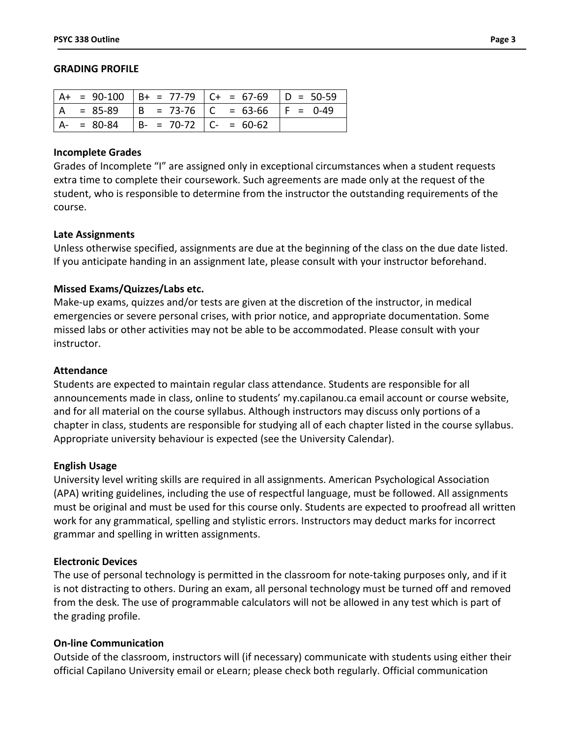#### **GRADING PROFILE**

|               |                             | $ $ A+ = 90-100 $ $ B+ = 77-79 $ $ C+ = 67-69 $ $ D = 50-59 |             |
|---------------|-----------------------------|-------------------------------------------------------------|-------------|
|               |                             | . = 85-89   B = 73-76   C = 63-66                           | $ F = 0-49$ |
| $A - = 80-84$ | $B - = 70-72$ $C - = 60-62$ |                                                             |             |

#### **Incomplete Grades**

Grades of Incomplete "I" are assigned only in exceptional circumstances when a student requests extra time to complete their coursework. Such agreements are made only at the request of the student, who is responsible to determine from the instructor the outstanding requirements of the course.

#### **Late Assignments**

Unless otherwise specified, assignments are due at the beginning of the class on the due date listed. If you anticipate handing in an assignment late, please consult with your instructor beforehand.

### **Missed Exams/Quizzes/Labs etc.**

Make-up exams, quizzes and/or tests are given at the discretion of the instructor, in medical emergencies or severe personal crises, with prior notice, and appropriate documentation. Some missed labs or other activities may not be able to be accommodated. Please consult with your instructor.

#### **Attendance**

Students are expected to maintain regular class attendance. Students are responsible for all announcements made in class, online to students' my.capilanou.ca email account or course website, and for all material on the course syllabus. Although instructors may discuss only portions of a chapter in class, students are responsible for studying all of each chapter listed in the course syllabus. Appropriate university behaviour is expected (see the University Calendar).

#### **English Usage**

University level writing skills are required in all assignments. American Psychological Association (APA) writing guidelines, including the use of respectful language, must be followed. All assignments must be original and must be used for this course only. Students are expected to proofread all written work for any grammatical, spelling and stylistic errors. Instructors may deduct marks for incorrect grammar and spelling in written assignments.

#### **Electronic Devices**

The use of personal technology is permitted in the classroom for note-taking purposes only, and if it is not distracting to others. During an exam, all personal technology must be turned off and removed from the desk. The use of programmable calculators will not be allowed in any test which is part of the grading profile.

#### **On-line Communication**

Outside of the classroom, instructors will (if necessary) communicate with students using either their official Capilano University email or eLearn; please check both regularly. Official communication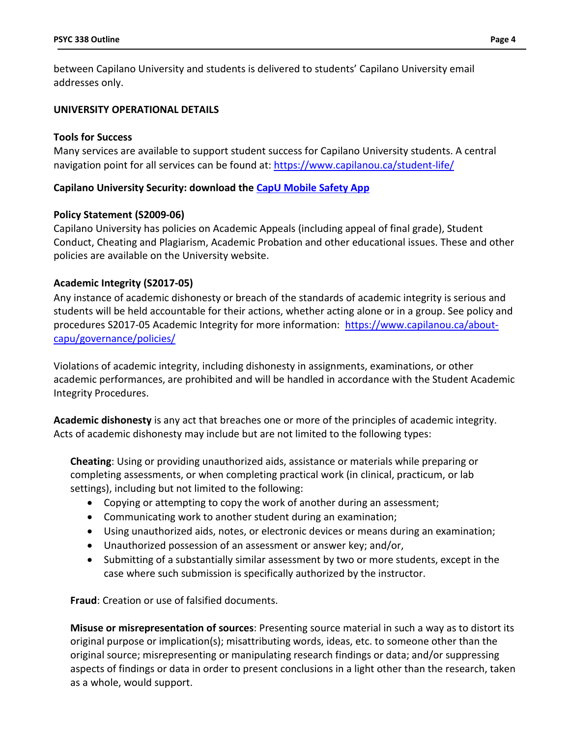between Capilano University and students is delivered to students' Capilano University email addresses only.

## **UNIVERSITY OPERATIONAL DETAILS**

## **Tools for Success**

Many services are available to support student success for Capilano University students. A central navigation point for all services can be found at:<https://www.capilanou.ca/student-life/>

# **Capilano University Security: download the [CapU Mobile Safety App](https://www.capilanou.ca/student-life/support--wellness/safety--security/capu-safe-app/)**

## **Policy Statement (S2009-06)**

Capilano University has policies on Academic Appeals (including appeal of final grade), Student Conduct, Cheating and Plagiarism, Academic Probation and other educational issues. These and other policies are available on the University website.

# **Academic Integrity (S2017-05)**

Any instance of academic dishonesty or breach of the standards of academic integrity is serious and students will be held accountable for their actions, whether acting alone or in a group. See policy and procedures S2017-05 Academic Integrity for more information: [https://www.capilanou.ca/about](https://www.capilanou.ca/about-capu/governance/policies/)[capu/governance/policies/](https://www.capilanou.ca/about-capu/governance/policies/)

Violations of academic integrity, including dishonesty in assignments, examinations, or other academic performances, are prohibited and will be handled in accordance with the Student Academic Integrity Procedures.

**Academic dishonesty** is any act that breaches one or more of the principles of academic integrity. Acts of academic dishonesty may include but are not limited to the following types:

**Cheating**: Using or providing unauthorized aids, assistance or materials while preparing or completing assessments, or when completing practical work (in clinical, practicum, or lab settings), including but not limited to the following:

- Copying or attempting to copy the work of another during an assessment;
- Communicating work to another student during an examination;
- Using unauthorized aids, notes, or electronic devices or means during an examination;
- Unauthorized possession of an assessment or answer key; and/or,
- Submitting of a substantially similar assessment by two or more students, except in the case where such submission is specifically authorized by the instructor.

**Fraud**: Creation or use of falsified documents.

**Misuse or misrepresentation of sources**: Presenting source material in such a way as to distort its original purpose or implication(s); misattributing words, ideas, etc. to someone other than the original source; misrepresenting or manipulating research findings or data; and/or suppressing aspects of findings or data in order to present conclusions in a light other than the research, taken as a whole, would support.